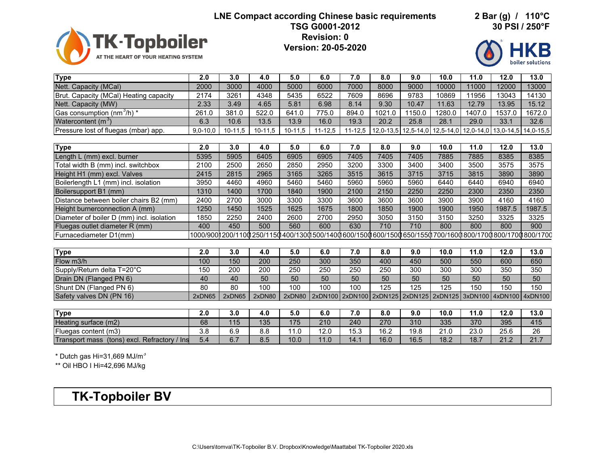## **LNE Compact according Chinese basic requirements 2 Bar (g) / 110°C**

**30 PSI / 250°F**



**TSG G0001-2012 Revision: 0**

**Version: 20-05-2020**



| <b>Type</b>                                  | $\overline{2.0}$ | 3.0       | 4.0       | 5.0       | 6.0         | 7.0         | 8.0                             | 9.0         | 10.0        | 11.0                            | 12.0   | 13.0                                                                                                              |
|----------------------------------------------|------------------|-----------|-----------|-----------|-------------|-------------|---------------------------------|-------------|-------------|---------------------------------|--------|-------------------------------------------------------------------------------------------------------------------|
| Nett. Capacity (MCal)                        | 2000             | 3000      | 4000      | 5000      | 6000        | 7000        | 8000                            | 9000        | 10000       | 11000                           | 12000  | 13000                                                                                                             |
| Brut. Capacity (MCal) Heating capacity       | 2174             | 3261      | 4348      | 5435      | 6522        | 7609        | 8696                            | 9783        | 10869       | 11956                           | 13043  | 14130                                                                                                             |
| Nett. Capacity (MW)                          | 2.33             | 3.49      | 4.65      | 5.81      | 6.98        | 8.14        | 9.30                            | 10.47       | 11.63       | 12.79                           | 13.95  | 15.12                                                                                                             |
| Gas consumption (nm $^3$ /h) *               | 261.0            | 381.0     | 522.0     | 641.0     | 775.0       | 894.0       | 1021.0                          | 1150.0      | 1280.0      | 1407.0                          | 1537.0 | 1672.0                                                                                                            |
| Watercontent $(m^3)$                         | 6.3              | 10.6      | 13.5      | 13.9      | 16.0        | 19.3        | 20.2                            | 25.8        | 28.1        | 29.0                            | 33.1   | 32.6                                                                                                              |
| Pressure lost of fluegas (mbar) app.         | $9,0 - 10,0$     | $10-11,5$ | $10-11,5$ | $10-11,5$ | $11 - 12.5$ | $11 - 12.5$ | $12,0-13,5$                     | $12,5-14,0$ | $12,5-14,0$ |                                 |        | 12,0-14,0 13,0-14,5 14,0-15,5                                                                                     |
|                                              |                  |           |           |           |             |             |                                 |             |             |                                 |        |                                                                                                                   |
| <b>Type</b>                                  | 2.0              | 3.0       | 4.0       | 5.0       | 6.0         | 7.0         | 8.0                             | 9.0         | 10.0        | 11.0                            | 12.0   | 13.0                                                                                                              |
| Length L (mm) excl. burner                   | 5395             | 5905      | 6405      | 6905      | 6905        | 7405        | 7405                            | 7405        | 7885        | 7885                            | 8385   | 8385                                                                                                              |
| Total width B (mm) incl. switchbox           | 2100             | 2500      | 2650      | 2850      | 2950        | 3200        | 3300                            | 3400        | 3400        | 3500                            | 3575   | 3575                                                                                                              |
| Height H1 (mm) excl. Valves                  | 2415             | 2815      | 2965      | 3165      | 3265        | 3515        | 3615                            | 3715        | 3715        | 3815                            | 3890   | 3890                                                                                                              |
| Boilerlength L1 (mm) incl. isolation         | 3950             | 4460      | 4960      | 5460      | 5460        | 5960        | 5960                            | 5960        | 6440        | 6440                            | 6940   | 6940                                                                                                              |
| Boilersupport B1 (mm)                        | 1310             | 1400      | 1700      | 1840      | 1900        | 2100        | 2150                            | 2250        | 2250        | 2300                            | 2350   | 2350                                                                                                              |
| Distance between boiler chairs B2 (mm)       | 2400             | 2700      | 3000      | 3300      | 3300        | 3600        | 3600                            | 3600        | 3900        | 3900                            | 4160   | 4160                                                                                                              |
| Height burnerconnection A (mm)               | 1250             | 1450      | 1525      | 1625      | 1675        | 1800        | 1850                            | 1900        | 1900        | 1950                            | 1987.5 | 1987.5                                                                                                            |
| Diameter of boiler D (mm) incl. isolation    | 1850             | 2250      | 2400      | 2600      | 2700        | 2950        | 3050                            | 3150        | 3150        | 3250                            | 3325   | 3325                                                                                                              |
| Fluegas outlet diameter R (mm)               | 400              | 450       | 500       | 560       | 600         | 630         | 710                             | 710         | 800         | 800                             | 800    | 900                                                                                                               |
| Furnacediameter D1(mm)                       |                  |           |           |           |             |             |                                 |             |             |                                 |        | 1000/900 1200/1100 1250/1150 1400/1300 1500/1400 1600/1500 1600/1500 1550 1700/1600 1800/1700 1800/1700 1800/1700 |
|                                              |                  |           |           |           |             |             |                                 |             |             |                                 |        |                                                                                                                   |
| <b>Type</b>                                  | 2.0              | 3.0       | 4.0       | 5.0       | 6.0         | 7.0         | 8.0                             | 9.0         | 10.0        | 11.0                            | 12.0   | 13.0                                                                                                              |
| Flow m3/h                                    | 100              | 150       | 200       | 250       | 300         | 350         | 400                             | 450         | 500         | 550                             | 600    | 650                                                                                                               |
| Supply/Return delta T=20°C                   | 150              | 200       | 200       | 250       | 250         | 250         | 250                             | 300         | 300         | 300                             | 350    | 350                                                                                                               |
| Drain DN (Flanged PN 6)                      | 40               | 40        | 50        | 50        | 50          | 50          | $\overline{50}$                 | 50          | 50          | 50                              | 50     | 50                                                                                                                |
| Shunt DN (Flanged PN 6)                      | 80               | 80        | 100       | 100       | 100         | 100         | 125                             | 125         | 125         | 150                             | 150    | 150                                                                                                               |
| Safety valves DN (PN 16)                     | 2xDN65           | 2xDN65    | 2xDN80    | 2xDN80    |             |             | 2xDN100 2xDN100 2xDN125 2xDN125 |             |             | 2xDN125 3xDN100 4xDN100 4xDN100 |        |                                                                                                                   |
|                                              |                  |           |           |           |             |             |                                 |             |             |                                 |        |                                                                                                                   |
| <b>Type</b>                                  | 2.0              | 3.0       | 4.0       | 5.0       | 6.0         | 7.0         | 8.0                             | 9.0         | 10.0        | 11.0                            | 12.0   | 13.0                                                                                                              |
| Heating surface (m2)                         | 68               | 115       | 135       | 175       | 210         | 240         | 270                             | 310         | 335         | 370                             | 395    | 415                                                                                                               |
| Fluegas content (m3)                         | 3.8              | 6.9       | 8.8       | 11.0      | 12.0        | 15.3        | 16.2                            | 19.8        | 21.0        | 23.0                            | 25.6   | 26                                                                                                                |
| Transport mass (tons) excl. Refractory / Ins | 5.4              | 6.7       | 8.5       | 10.0      | 11.0        | 14.1        | 16.0                            | 16.5        | 18.2        | 18.7                            | 21.2   | 21.7                                                                                                              |

 $^{\star}$  Dutch gas Hi=31,669 MJ/m $^{\rm 3}$ 

\*\* Oil HBO I Hi=42,696 MJ/kg

**TK-Topboiler BV**